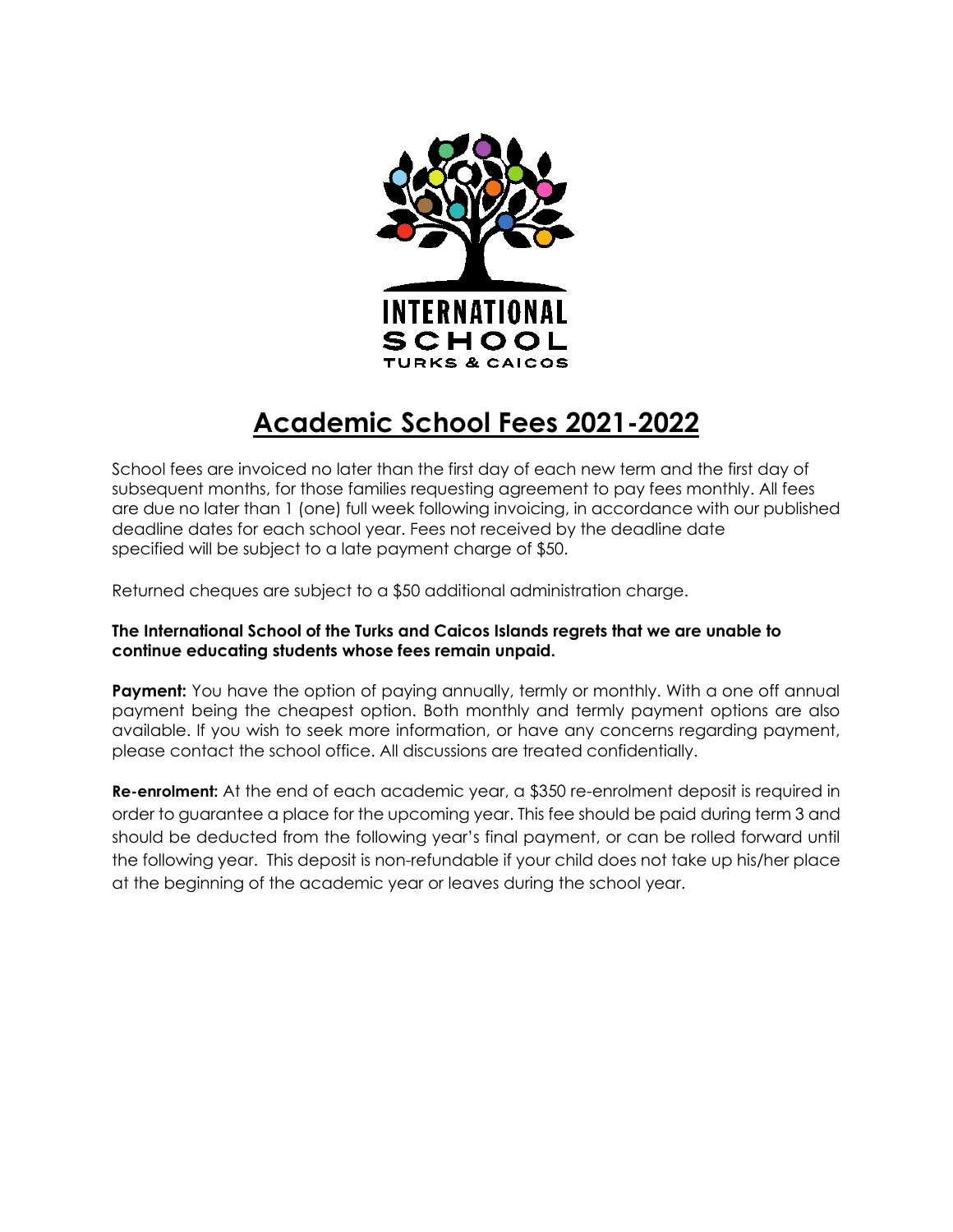

# **Academic School Fees 2021-2022**

School fees are invoiced no later than the first day of each new term and the first day of subsequent months, for those families requesting agreement to pay fees monthly. All fees are due no later than 1 (one) full week following invoicing, in accordance with our published deadline dates for each school year. Fees not received by the deadline date specified will be subject to a late payment charge of \$50.

Returned cheques are subject to a \$50 additional administration charge.

#### **The International School of the Turks and Caicos Islands regrets that we are unable to continue educating students whose fees remain unpaid.**

**Payment:** You have the option of paying annually, termly or monthly. With a one off annual payment being the cheapest option. Both monthly and termly payment options are also available. If you wish to seek more information, or have any concerns regarding payment, please contact the school office. All discussions are treated confidentially.

**Re-enrolment:** At the end of each academic year, a \$350 re-enrolment deposit is required in order to guarantee a place for the upcoming year. This fee should be paid during term 3 and should be deducted from the following year's final payment, or can be rolled forward until the following year. This deposit is non-refundable if your child does not take up his/her place at the beginning of the academic year or leaves during the school year.